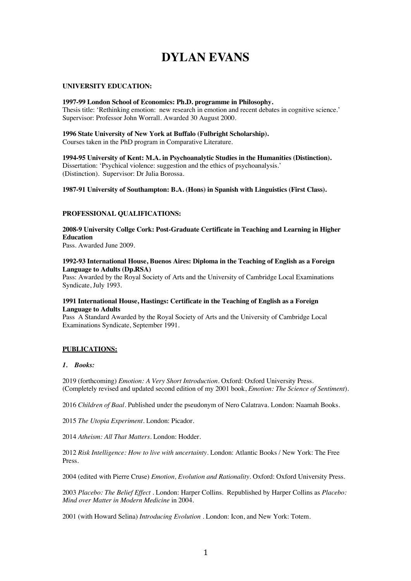# **DYLAN EVANS**

## **UNIVERSITY EDUCATION:**

#### **1997-99 London School of Economics: Ph.D. programme in Philosophy.**

Thesis title: 'Rethinking emotion: new research in emotion and recent debates in cognitive science.' Supervisor: Professor John Worrall. Awarded 30 August 2000.

### **1996 State University of New York at Buffalo (Fulbright Scholarship).** Courses taken in the PhD program in Comparative Literature.

**1994-95 University of Kent: M.A. in Psychoanalytic Studies in the Humanities (Distinction).** Dissertation: 'Psychical violence: suggestion and the ethics of psychoanalysis.' (Distinction). Supervisor: Dr Julia Borossa.

**1987-91 University of Southampton: B.A. (Hons) in Spanish with Linguistics (First Class).**

## **PROFESSIONAL QUALIFICATIONS:**

**2008-9 University Collge Cork: Post-Graduate Certificate in Teaching and Learning in Higher Education**

Pass. Awarded June 2009.

## **1992-93 International House, Buenos Aires: Diploma in the Teaching of English as a Foreign Language to Adults (Dp.RSA)**

Pass: Awarded by the Royal Society of Arts and the University of Cambridge Local Examinations Syndicate, July 1993.

## **1991 International House, Hastings: Certificate in the Teaching of English as a Foreign Language to Adults**

Pass A Standard Awarded by the Royal Society of Arts and the University of Cambridge Local Examinations Syndicate, September 1991.

## **PUBLICATIONS:**

## *1. Books:*

2019 (forthcoming) *Emotion: A Very Short Introduction*. Oxford: Oxford University Press. (Completely revised and updated second edition of my 2001 book, *Emotion: The Science of Sentiment*).

2016 *Children of Baal*. Published under the pseudonym of Nero Calatrava. London: Naamah Books.

2015 *The Utopia Experiment*. London: Picador.

2014 *Atheism: All That Matters*. London: Hodder.

2012 *Risk Intelligence: How to live with uncertainty*. London: Atlantic Books / New York: The Free Press.

2004 (edited with Pierre Cruse) *Emotion, Evolution and Rationality*. Oxford: Oxford University Press.

2003 *Placebo: The Belief Effect* . London: Harper Collins. Republished by Harper Collins as *Placebo: Mind over Matter in Modern Medicine* in 2004.

2001 (with Howard Selina) *Introducing Evolution* . London: Icon, and New York: Totem.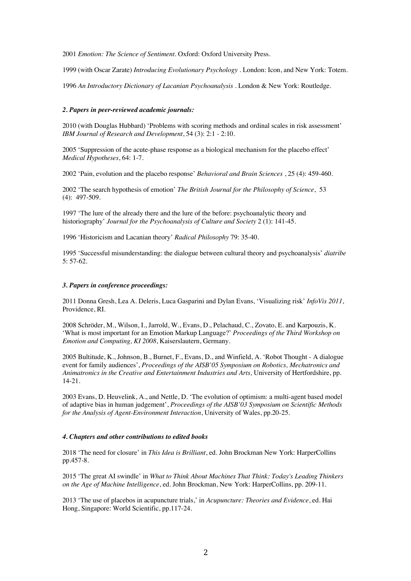2001 *Emotion: The Science of Sentiment*. Oxford: Oxford University Press.

1999 (with Oscar Zarate) *Introducing Evolutionary Psychology* . London: Icon, and New York: Totem.

1996 *An Introductory Dictionary of Lacanian Psychoanalysis* . London & New York: Routledge.

#### *2. Papers in peer-reviewed academic journals:*

2010 (with Douglas Hubbard) 'Problems with scoring methods and ordinal scales in risk assessment' *IBM Journal of Research and Development*, 54 (3): 2:1 - 2:10.

2005 'Suppression of the acute-phase response as a biological mechanism for the placebo effect' *Medical Hypotheses*, 64: 1-7.

2002 'Pain, evolution and the placebo response' *Behavioral and Brain Sciences* , 25 (4): 459-460.

2002 'The search hypothesis of emotion' *The British Journal for the Philosophy of Science*, 53 (4): 497-509.

1997 'The lure of the already there and the lure of the before: psychoanalytic theory and historiography' *Journal for the Psychoanalysis of Culture and Society* 2 (1): 141-45.

1996 'Historicism and Lacanian theory' *Radical Philosophy* 79: 35-40.

1995 'Successful misunderstanding: the dialogue between cultural theory and psychoanalysis' *diatribe* 5: 57-62.

#### *3. Papers in conference proceedings:*

2011 Donna Gresh, Lea A. Deleris, Luca Gasparini and Dylan Evans, 'Visualizing risk' *InfoVis 2011*, Providence, RI.

2008 Schröder, M., Wilson, I., Jarrold, W., Evans, D., Pelachaud, C., Zovato, E. and Karpouzis, K. 'What is most important for an Emotion Markup Language?' *Proceedings of the Third Workshop on Emotion and Computing, KI 2008*, Kaiserslautern, Germany.

2005 Bultitude, K., Johnson, B., Burnet, F., Evans, D., and Winfield, A. 'Robot Thought - A dialogue event for family audiences', *Proceedings of the AISB'05 Symposium on Robotics, Mechatronics and Animatronics in the Creative and Entertainment Industries and Arts,* University of Hertfordshire, pp. 14-21.

2003 Evans, D. Heuvelink, A., and Nettle, D. 'The evolution of optimism: a multi-agent based model of adaptive bias in human judgement', *Proceedings of the AISB'03 Symposium on Scientific Methods for the Analysis of Agent-Environment Interaction*, University of Wales, pp.20-25.

#### *4. Chapters and other contributions to edited books*

2018 'The need for closure' in *This Idea is Brilliant*, ed. John Brockman New York: HarperCollins pp.457-8.

2015 'The great AI swindle' in *What to Think About Machines That Think: Today's Leading Thinkers on the Age of Machine Intelligence*, ed. John Brockman, New York: HarperCollins, pp. 209-11.

2013 'The use of placebos in acupuncture trials,' in *Acupuncture: Theories and Evidence*, ed. Hai Hong, Singapore: World Scientific, pp.117-24.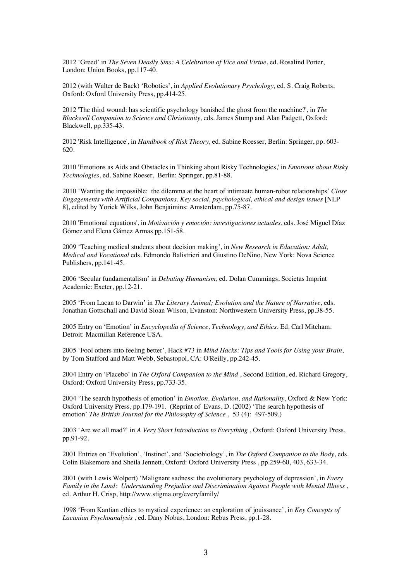2012 'Greed' in *The Seven Deadly Sins: A Celebration of Vice and Virtue*, ed. Rosalind Porter, London: Union Books, pp.117-40.

2012 (with Walter de Back) 'Robotics', in *Applied Evolutionary Psychology,* ed. S. Craig Roberts, Oxford: Oxford University Press, pp.414-25.

2012 'The third wound: has scientific psychology banished the ghost from the machine?', in *The Blackwell Companion to Science and Christianity,* eds. James Stump and Alan Padgett, Oxford: Blackwell, pp.335-43.

2012 'Risk Intelligence', in *Handbook of Risk Theory,* ed. Sabine Roesser, Berlin: Springer, pp. 603- 620.

2010 'Emotions as Aids and Obstacles in Thinking about Risky Technologies,' in *Emotions about Risky Technologies*, ed. Sabine Roeser, Berlin: Springer, pp.81-88.

2010 'Wanting the impossible: the dilemma at the heart of intimaate human-robot relationships' *Close Engagements with Artificial Companions. Key social, psychological, ethical and design issues* [NLP 8], edited by Yorick Wilks, John Benjaimins: Amsterdam, pp.75-87.

2010 'Emotional equations', in *Motivación y emoción: investigaciones actuales*, eds. José Miguel Díaz Gómez and Elena Gámez Armas pp.151-58.

2009 'Teaching medical students about decision making', in *New Research in Education: Adult, Medical and Vocational* eds. Edmondo Balistrieri and Giustino DeNino, New York: Nova Science Publishers, pp.141-45.

2006 'Secular fundamentalism' in *Debating Humanism*, ed. Dolan Cummings, Societas Imprint Academic: Exeter, pp.12-21.

2005 'From Lacan to Darwin' in *The Literary Animal; Evolution and the Nature of Narrative*, eds. Jonathan Gottschall and David Sloan Wilson, Evanston: Northwestern University Press, pp.38-55.

2005 Entry on 'Emotion' in *Encyclopedia of Science, Technology, and Ethics*. Ed. Carl Mitcham. Detroit: Macmillan Reference USA.

2005 'Fool others into feeling better', Hack #73 in *Mind Hacks: Tips and Tools for Using your Brain*, by Tom Stafford and Matt Webb, Sebastopol, CA: O'Reilly, pp.242-45.

2004 Entry on 'Placebo' in *The Oxford Companion to the Mind* , Second Edition, ed. Richard Gregory, Oxford: Oxford University Press, pp.733-35.

2004 'The search hypothesis of emotion' in *Emotion, Evolution, and Rationality*, Oxford & New York: Oxford University Press, pp.179-191. (Reprint of Evans, D. (2002) 'The search hypothesis of emotion' *The British Journal for the Philosophy of Science* , 53 (4): 497-509.)

2003 'Are we all mad?' in *A Very Short Introduction to Everything* , Oxford: Oxford University Press, pp.91-92.

2001 Entries on 'Evolution', 'Instinct', and 'Sociobiology', in *The Oxford Companion to the Body*, eds. Colin Blakemore and Sheila Jennett, Oxford: Oxford University Press , pp.259-60, 403, 633-34.

2001 (with Lewis Wolpert) 'Malignant sadness: the evolutionary psychology of depression', in *Every Family in the Land: Understanding Prejudice and Discrimination Against People with Mental Illness* , ed. Arthur H. Crisp, http://www.stigma.org/everyfamily/

1998 'From Kantian ethics to mystical experience: an exploration of jouissance', in *Key Concepts of Lacanian Psychoanalysis* , ed. Dany Nobus, London: Rebus Press, pp.1-28.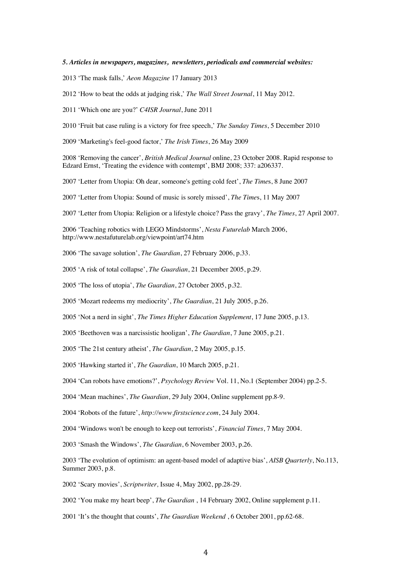#### *5. Articles in newspapers, magazines, newsletters, periodicals and commercial websites:*

2013 'The mask falls,' *Aeon Magazine* 17 January 2013

2012 'How to beat the odds at judging risk,' *The Wall Street Journal*, 11 May 2012.

2011 'Which one are you?' *C4ISR Journal*, June 2011

2010 'Fruit bat case ruling is a victory for free speech,' *The Sunday Times*, 5 December 2010

2009 'Marketing's feel-good factor,' *The Irish Times*, 26 May 2009

2008 'Removing the cancer', *British Medical Journal* online, 23 October 2008. Rapid response to Edzard Ernst, 'Treating the evidence with contempt', BMJ 2008; 337: a206337.

2007 'Letter from Utopia: Oh dear, someone's getting cold feet', *The Time*s, 8 June 2007

2007 'Letter from Utopia: Sound of music is sorely missed', *The Time*s, 11 May 2007

2007 'Letter from Utopia: Religion or a lifestyle choice? Pass the gravy', *The Times*, 27 April 2007.

2006 'Teaching robotics with LEGO Mindstorms', *Nesta Futurelab* March 2006, http://www.nestafuturelab.org/viewpoint/art74.htm

2006 'The savage solution', *The Guardian*, 27 February 2006, p.33.

2005 'A risk of total collapse', *The Guardian*, 21 December 2005, p.29.

2005 'The loss of utopia', *The Guardian*, 27 October 2005, p.32.

2005 'Mozart redeems my mediocrity', *The Guardian*, 21 July 2005, p.26.

2005 'Not a nerd in sight', *The Times Higher Education Supplement*, 17 June 2005, p.13.

2005 'Beethoven was a narcissistic hooligan', *The Guardian*, 7 June 2005, p.21.

2005 'The 21st century atheist', *The Guardian*, 2 May 2005, p.15.

2005 'Hawking started it', *The Guardian*, 10 March 2005, p.21.

2004 'Can robots have emotions?', *Psychology Review* Vol. 11, No.1 (September 2004) pp.2-5.

2004 'Mean machines', *The Guardian*, 29 July 2004, Online supplement pp.8-9.

2004 'Robots of the future', *http://www.firstscience.com*, 24 July 2004.

2004 'Windows won't be enough to keep out terrorists', *Financial Times*, 7 May 2004.

2003 'Smash the Windows', *The Guardian*, 6 November 2003, p.26.

2003 'The evolution of optimism: an agent-based model of adaptive bias', *AISB Quarterly*, No.113, Summer 2003, p.8.

2002 'Scary movies', *Scriptwriter,* Issue 4, May 2002, pp.28-29.

2002 'You make my heart beep', *The Guardian* , 14 February 2002, Online supplement p.11.

2001 'It's the thought that counts', *The Guardian Weekend* , 6 October 2001, pp.62-68.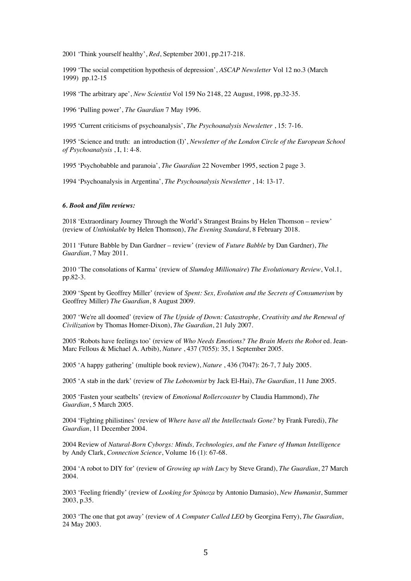2001 'Think yourself healthy', *Red*, September 2001, pp.217-218.

1999 'The social competition hypothesis of depression', *ASCAP Newsletter* Vol 12 no.3 (March 1999) pp.12-15

1998 'The arbitrary ape', *New Scientist* Vol 159 No 2148, 22 August, 1998, pp.32-35.

1996 'Pulling power', *The Guardian* 7 May 1996.

1995 'Current criticisms of psychoanalysis', *The Psychoanalysis Newsletter* , 15: 7-16.

1995 'Science and truth: an introduction (I)', *Newsletter of the London Circle of the European School of Psychoanalysis* , I, 1: 4-8.

1995 'Psychobabble and paranoia', *The Guardian* 22 November 1995, section 2 page 3.

1994 'Psychoanalysis in Argentina', *The Psychoanalysis Newsletter* , 14: 13-17.

#### *6. Book and film reviews:*

2018 'Extraordinary Journey Through the World's Strangest Brains by Helen Thomson – review' (review of *Unthinkable* by Helen Thomson), *The Evening Standard*, 8 February 2018.

2011 'Future Babble by Dan Gardner – review' (review of *Future Babble* by Dan Gardner), *The Guardian*, 7 May 2011.

2010 'The consolations of Karma' (review of *Slumdog Millionaire*) *The Evolutionary Review*, Vol.1, pp.82-3.

2009 'Spent by Geoffrey Miller' (review of *Spent: Sex, Evolution and the Secrets of Consumerism* by Geoffrey Miller) *The Guardian*, 8 August 2009.

2007 'We're all doomed' (review of *The Upside of Down: Catastrophe, Creativity and the Renewal of Civilization* by Thomas Homer-Dixon), *The Guardian*, 21 July 2007.

2005 'Robots have feelings too' (review of *Who Needs Emotions? The Brain Meets the Robot* ed. Jean-Marc Fellous & Michael A. Arbib), *Nature* , 437 (7055): 35, 1 September 2005.

2005 'A happy gathering' (multiple book review), *Nature* , 436 (7047): 26-7, 7 July 2005.

2005 'A stab in the dark' (review of *The Lobotomist* by Jack El-Hai), *The Guardian*, 11 June 2005.

2005 'Fasten your seatbelts' (review of *Emotional Rollercoaster* by Claudia Hammond), *The Guardian*, 5 March 2005.

2004 'Fighting philistines' (review of *Where have all the Intellectuals Gone?* by Frank Furedi), *The Guardian*, 11 December 2004.

2004 Review of *Natural-Born Cyborgs: Minds, Technologies, and the Future of Human Intelligence* by Andy Clark, *Connection Science*, Volume 16 (1): 67-68.

2004 'A robot to DIY for' (review of *Growing up with Lucy* by Steve Grand), *The Guardian*, 27 March 2004.

2003 'Feeling friendly' (review of *Looking for Spinoza* by Antonio Damasio), *New Humanist*, Summer 2003, p.35.

2003 'The one that got away' (review of *A Computer Called LEO* by Georgina Ferry), *The Guardian*, 24 May 2003.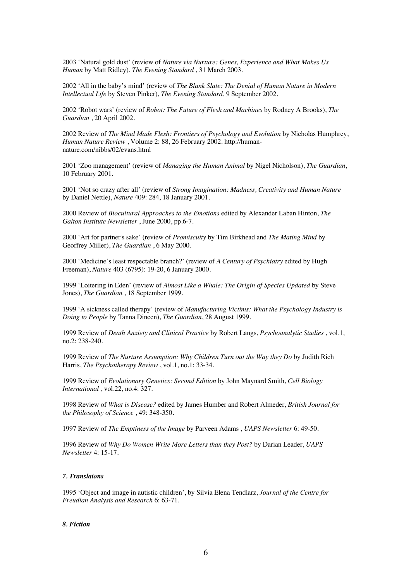2003 'Natural gold dust' (review of *Nature via Nurture: Genes, Experience and What Makes Us Human* by Matt Ridley), *The Evening Standard* , 31 March 2003.

2002 'All in the baby's mind' (review of *The Blank Slate: The Denial of Human Nature in Modern Intellectual Life* by Steven Pinker), *The Evening Standard*, 9 September 2002.

2002 'Robot wars' (review of *Robot: The Future of Flesh and Machines* by Rodney A Brooks), *The Guardian* , 20 April 2002.

2002 Review of *The Mind Made Flesh: Frontiers of Psychology and Evolution* by Nicholas Humphrey, *Human Nature Review* , Volume 2: 88, 26 February 2002. http://humannature.com/nibbs/02/evans.html

2001 'Zoo management' (review of *Managing the Human Animal* by Nigel Nicholson), *The Guardian*, 10 February 2001.

2001 'Not so crazy after all' (review of *Strong Imagination: Madness, Creativity and Human Nature* by Daniel Nettle), *Nature* 409: 284, 18 January 2001.

2000 Review of *Biocultural Approaches to the Emotions* edited by Alexander Laban Hinton, *The Galton Institute Newsletter* , June 2000, pp.6-7.

2000 'Art for partner's sake' (review of *Promiscuity* by Tim Birkhead and *The Mating Mind* by Geoffrey Miller), *The Guardian* , 6 May 2000.

2000 'Medicine's least respectable branch?' (review of *A Century of Psychiatry* edited by Hugh Freeman), *Nature* 403 (6795): 19-20, 6 January 2000.

1999 'Loitering in Eden' (review of *Almost Like a Whale: The Origin of Species Updated* by Steve Jones), *The Guardian* , 18 September 1999.

1999 'A sickness called therapy' (review of *Manufacturing Victims: What the Psychology Industry is Doing to People* by Tanna Dineen), *The Guardian*, 28 August 1999.

1999 Review of *Death Anxiety and Clinical Practice* by Robert Langs, *Psychoanalytic Studies* , vol.1, no.2: 238-240.

1999 Review of *The Nurture Assumption: Why Children Turn out the Way they Do* by Judith Rich Harris, *The Psychotherapy Review* , vol.1, no.1: 33-34.

1999 Review of *Evolutionary Genetics: Second Edition* by John Maynard Smith, *Cell Biology International* , vol.22, no.4: 327.

1998 Review of *What is Disease?* edited by James Humber and Robert Almeder, *British Journal for the Philosophy of Science* , 49: 348-350.

1997 Review of *The Emptiness of the Image* by Parveen Adams , *UAPS Newsletter* 6: 49-50.

1996 Review of *Why Do Women Write More Letters than they Post?* by Darian Leader, *UAPS Newsletter* 4: 15-17.

#### *7. Translaions*

1995 'Object and image in autistic children', by Silvia Elena Tendlarz, *Journal of the Centre for Freudian Analysis and Research* 6: 63-71.

#### *8. Fiction*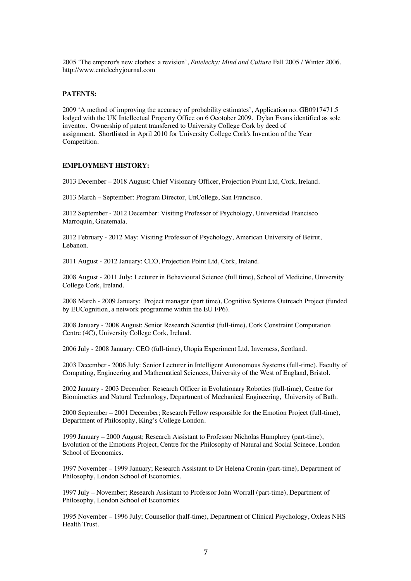2005 'The emperor's new clothes: a revision', *Entelechy: Mind and Culture* Fall 2005 / Winter 2006. http://www.entelechyjournal.com

## **PATENTS:**

2009 'A method of improving the accuracy of probability estimates', Application no. GB0917471.5 lodged with the UK Intellectual Property Office on 6 Ocotober 2009. Dylan Evans identified as sole inventor. Ownership of patent transferred to University College Cork by deed of assignment. Shortlisted in April 2010 for University College Cork's Invention of the Year Competition.

# **EMPLOYMENT HISTORY:**

2013 December – 2018 August: Chief Visionary Officer, Projection Point Ltd, Cork, Ireland.

2013 March – September: Program Director, UnCollege, San Francisco.

2012 September - 2012 December: Visiting Professor of Psychology, Universidad Francisco Marroquin, Guatemala.

2012 February - 2012 May: Visiting Professor of Psychology, American University of Beirut, Lebanon.

2011 August - 2012 January: CEO, Projection Point Ltd, Cork, Ireland.

2008 August - 2011 July: Lecturer in Behavioural Science (full time), School of Medicine, University College Cork, Ireland.

2008 March - 2009 January: Project manager (part time), Cognitive Systems Outreach Project (funded by EUCognition, a network programme within the EU FP6).

2008 January - 2008 August: Senior Research Scientist (full-time), Cork Constraint Computation Centre (4C), University College Cork, Ireland.

2006 July - 2008 January: CEO (full-time), Utopia Experiment Ltd, Inverness, Scotland.

2003 December - 2006 July: Senior Lecturer in Intelligent Autonomous Systems (full-time), Faculty of Computing, Engineering and Mathematical Sciences, University of the West of England, Bristol.

2002 January - 2003 December: Research Officer in Evolutionary Robotics (full-time), Centre for Biomimetics and Natural Technology, Department of Mechanical Engineering, University of Bath.

2000 September – 2001 December; Research Fellow responsible for the Emotion Project (full-time), Department of Philosophy, King's College London.

1999 January – 2000 August; Research Assistant to Professor Nicholas Humphrey (part-time), Evolution of the Emotions Project, Centre for the Philosophy of Natural and Social Scinece, London School of Economics.

1997 November – 1999 January; Research Assistant to Dr Helena Cronin (part-time), Department of Philosophy, London School of Economics.

1997 July – November; Research Assistant to Professor John Worrall (part-time), Department of Philosophy, London School of Economics

1995 November – 1996 July; Counsellor (half-time), Department of Clinical Psychology, Oxleas NHS Health Trust.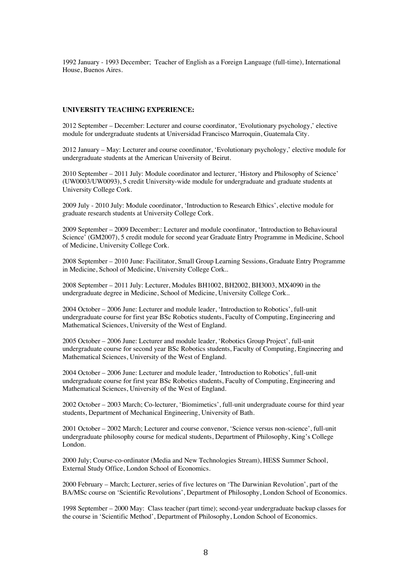1992 January - 1993 December; Teacher of English as a Foreign Language (full-time), International House, Buenos Aires.

### **UNIVERSITY TEACHING EXPERIENCE:**

2012 September – December: Lecturer and course coordinator, 'Evolutionary psychology,' elective module for undergraduate students at Universidad Francisco Marroquin, Guatemala City.

2012 January – May: Lecturer and course coordinator, 'Evolutionary psychology,' elective module for undergraduate students at the American University of Beirut.

2010 September – 2011 July: Module coordinator and lecturer, 'History and Philosophy of Science' (UW0003/UW0093), 5 credit University-wide module for undergraduate and graduate students at University College Cork.

2009 July - 2010 July: Module coordinator, 'Introduction to Research Ethics', elective module for graduate research students at University College Cork.

2009 September – 2009 December:: Lecturer and module coordinator, 'Introduction to Behavioural Science' (GM2007), 5 credit module for second year Graduate Entry Programme in Medicine, School of Medicine, University College Cork.

2008 September – 2010 June: Facilitator, Small Group Learning Sessions, Graduate Entry Programme in Medicine, School of Medicine, University College Cork..

2008 September – 2011 July: Lecturer, Modules BH1002, BH2002, BH3003, MX4090 in the undergraduate degree in Medicine, School of Medicine, University College Cork..

2004 October – 2006 June: Lecturer and module leader, 'Introduction to Robotics', full-unit undergraduate course for first year BSc Robotics students, Faculty of Computing, Engineering and Mathematical Sciences, University of the West of England.

2005 October – 2006 June: Lecturer and module leader, 'Robotics Group Project', full-unit undergraduate course for second year BSc Robotics students, Faculty of Computing, Engineering and Mathematical Sciences, University of the West of England.

2004 October – 2006 June: Lecturer and module leader, 'Introduction to Robotics', full-unit undergraduate course for first year BSc Robotics students, Faculty of Computing, Engineering and Mathematical Sciences, University of the West of England.

2002 October – 2003 March; Co-lecturer, 'Biomimetics', full-unit undergraduate course for third year students, Department of Mechanical Engineering, University of Bath.

2001 October – 2002 March; Lecturer and course convenor, 'Science versus non-science', full-unit undergraduate philosophy course for medical students, Department of Philosophy, King's College London.

2000 July; Course-co-ordinator (Media and New Technologies Stream), HESS Summer School, External Study Office, London School of Economics.

2000 February – March; Lecturer, series of five lectures on 'The Darwinian Revolution', part of the BA/MSc course on 'Scientific Revolutions', Department of Philosophy, London School of Economics.

1998 September – 2000 May: Class teacher (part time); second-year undergraduate backup classes for the course in 'Scientific Method', Department of Philosophy, London School of Economics.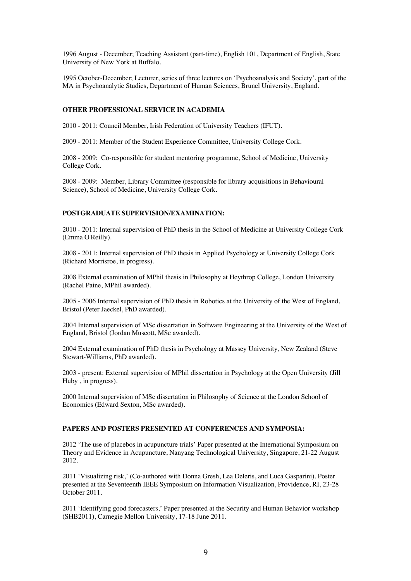1996 August - December; Teaching Assistant (part-time), English 101, Department of English, State University of New York at Buffalo.

1995 October-December; Lecturer, series of three lectures on 'Psychoanalysis and Society', part of the MA in Psychoanalytic Studies, Department of Human Sciences, Brunel University, England.

### **OTHER PROFESSIONAL SERVICE IN ACADEMIA**

2010 - 2011: Council Member, Irish Federation of University Teachers (IFUT).

2009 - 2011: Member of the Student Experience Committee, University College Cork.

2008 - 2009: Co-responsible for student mentoring programme, School of Medicine, University College Cork.

2008 - 2009: Member, Library Committee (responsible for library acquisitions in Behavioural Science), School of Medicine, University College Cork.

#### **POSTGRADUATE SUPERVISION/EXAMINATION:**

2010 - 2011: Internal supervision of PhD thesis in the School of Medicine at University College Cork (Emma O'Reilly).

2008 - 2011: Internal supervision of PhD thesis in Applied Psychology at University College Cork (Richard Morrisroe, in progress).

2008 External examination of MPhil thesis in Philosophy at Heythrop College, London University (Rachel Paine, MPhil awarded).

2005 - 2006 Internal supervision of PhD thesis in Robotics at the University of the West of England, Bristol (Peter Jaeckel, PhD awarded).

2004 Internal supervision of MSc dissertation in Software Engineering at the University of the West of England, Bristol (Jordan Muscott, MSc awarded).

2004 External examination of PhD thesis in Psychology at Massey University, New Zealand (Steve Stewart-Williams, PhD awarded).

2003 - present: External supervision of MPhil dissertation in Psychology at the Open University (Jill Huby , in progress).

2000 Internal supervision of MSc dissertation in Philosophy of Science at the London School of Economics (Edward Sexton, MSc awarded).

# **PAPERS AND POSTERS PRESENTED AT CONFERENCES AND SYMPOSIA:**

2012 'The use of placebos in acupuncture trials' Paper presented at the International Symposium on Theory and Evidence in Acupuncture, Nanyang Technological University, Singapore, 21-22 August 2012.

2011 'Visualizing risk,' (Co-authored with Donna Gresh, Lea Deleris, and Luca Gasparini). Poster presented at the Seventeenth IEEE Symposium on Information Visualization, Providence, RI, 23-28 October 2011.

2011 'Identifying good forecasters,' Paper presented at the Security and Human Behavior workshop (SHB2011), Carnegie Mellon University, 17-18 June 2011.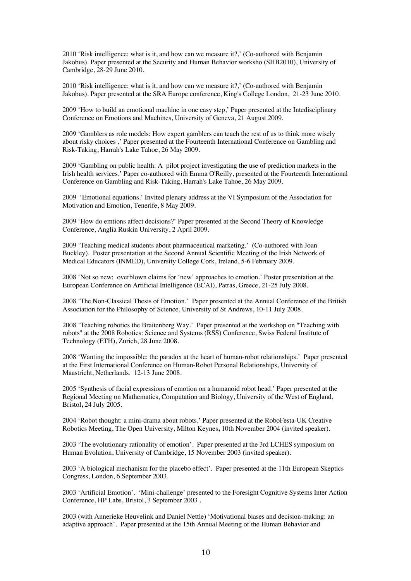2010 'Risk intelligence: what is it, and how can we measure it?,' (Co-authored with Benjamin Jakobus). Paper presented at the Security and Human Behavior worksho (SHB2010), University of Cambridge, 28-29 June 2010.

2010 'Risk intelligence: what is it, and how can we measure it?,' (Co-authored with Benjamin Jakobus). Paper presented at the SRA Europe conference, King's College London, 21-23 June 2010.

2009 'How to build an emotional machine in one easy step,' Paper presented at the Intedisciplinary Conference on Emotions and Machines, University of Geneva, 21 August 2009.

2009 'Gamblers as role models: How expert gamblers can teach the rest of us to think more wisely about risky choices ,' Paper presented at the Fourteenth International Conference on Gambling and Risk-Taking, Harrah's Lake Tahoe, 26 May 2009.

2009 'Gambling on public health: A pilot project investigating the use of prediction markets in the Irish health services,' Paper co-authored with Emma O'Reilly, presented at the Fourteenth International Conference on Gambling and Risk-Taking, Harrah's Lake Tahoe, 26 May 2009.

2009 'Emotional equations.' Invited plenary address at the VI Symposium of the Association for Motivation and Emotion, Tenerife, 8 May 2009.

2009 'How do emtions affect decisions?' Paper presented at the Second Theory of Knowledge Conference, Anglia Ruskin University, 2 April 2009.

2009 'Teaching medical students about pharmaceutical marketing.' (Co-authored with Joan Buckley). Poster presentation at the Second Annual Scientific Meeting of the Irish Network of Medical Educators (INMED), University College Cork, Ireland, 5-6 February 2009.

2008 'Not so new: overblown claims for 'new' approaches to emotion.' Poster presentation at the European Conference on Artificial Intelligence (ECAI), Patras, Greece, 21-25 July 2008.

2008 'The Non-Classical Thesis of Emotion.' Paper presented at the Annual Conference of the British Association for the Philosophy of Science, University of St Andrews, 10-11 July 2008.

2008 'Teaching robotics the Braitenberg Way.' Paper presented at the workshop on "Teaching with robots" at the 2008 Robotics: Science and Systems (RSS) Conference, Swiss Federal Institute of Technology (ETH), Zurich, 28 June 2008.

2008 'Wanting the impossible: the paradox at the heart of human-robot relationships.' Paper presented at the First International Conference on Human-Robot Personal Relationships, University of Maastricht, Netherlands. 12-13 June 2008.

2005 'Synthesis of facial expressions of emotion on a humanoid robot head.' Paper presented at the Regional Meeting on Mathematics, Computation and Biology, University of the West of England, Bristol**,** 24 July 2005.

2004 'Robot thought: a mini-drama about robots.' Paper presented at the RoboFesta-UK Creative Robotics Meeting, The Open University, Milton Keynes**,** 10th November 2004 (invited speaker).

2003 'The evolutionary rationality of emotion'. Paper presented at the 3rd LCHES symposium on Human Evolution, University of Cambridge, 15 November 2003 (invited speaker).

2003 'A biological mechanism for the placebo effect'. Paper presented at the 11th European Skeptics Congress, London, 6 September 2003.

2003 'Artificial Emotion'. 'Mini-challenge' presented to the Foresight Cognitive Systems Inter Action Conference, HP Labs, Bristol, 3 September 2003 .

2003 (with Annerieke Heuvelink and Daniel Nettle) 'Motivational biases and decision-making: an adaptive approach'. Paper presented at the 15th Annual Meeting of the Human Behavior and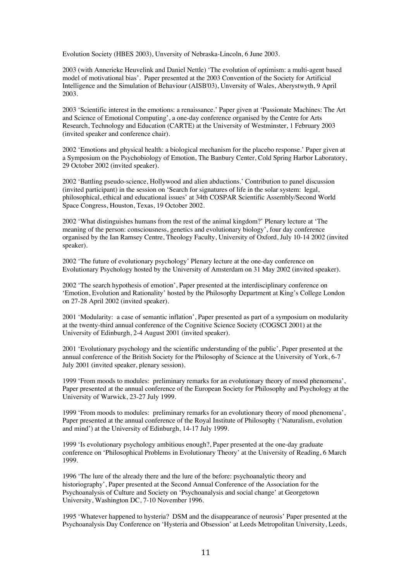Evolution Society (HBES 2003), Unversity of Nebraska-Lincoln, 6 June 2003.

2003 (with Annerieke Heuvelink and Daniel Nettle) 'The evolution of optimism: a multi-agent based model of motivational bias'. Paper presented at the 2003 Convention of the Society for Artificial Intelligence and the Simulation of Behaviour (AISB'03), Unversity of Wales, Aberystwyth, 9 April 2003.

2003 'Scientific interest in the emotions: a renaissance.' Paper given at 'Passionate Machines: The Art and Science of Emotional Computing', a one-day conference organised by the Centre for Arts Research, Technology and Education (CARTE) at the University of Westminster, 1 February 2003 (invited speaker and conference chair).

2002 'Emotions and physical health: a biological mechanism for the placebo response.' Paper given at a Symposium on the Psychobiology of Emotion, The Banbury Center, Cold Spring Harbor Laboratory, 29 October 2002 (invited speaker).

2002 'Battling pseudo-science, Hollywood and alien abductions.' Contribution to panel discussion (invited participant) in the session on 'Search for signatures of life in the solar system: legal, philosophical, ethical and educational issues' at 34th COSPAR Scientific Assembly/Second World Space Congress, Houston, Texas, 19 October 2002.

2002 'What distinguishes humans from the rest of the animal kingdom?' Plenary lecture at 'The meaning of the person: consciousness, genetics and evolutionary biology', four day conference organised by the Ian Ramsey Centre, Theology Faculty, University of Oxford, July 10-14 2002 (invited speaker).

2002 'The future of evolutionary psychology' Plenary lecture at the one-day conference on Evolutionary Psychology hosted by the University of Amsterdam on 31 May 2002 (invited speaker).

2002 'The search hypothesis of emotion', Paper presented at the interdisciplinary conference on 'Emotion, Evolution and Rationality' hosted by the Philosophy Department at King's College London on 27-28 April 2002 (invited speaker).

2001 'Modularity: a case of semantic inflation', Paper presented as part of a symposium on modularity at the twenty-third annual conference of the Cognitive Science Society (COGSCI 2001) at the University of Edinburgh, 2-4 August 2001 (invited speaker).

2001 'Evolutionary psychology and the scientific understanding of the public', Paper presented at the annual conference of the British Society for the Philosophy of Science at the University of York, 6-7 July 2001 (invited speaker, plenary session).

1999 'From moods to modules: preliminary remarks for an evolutionary theory of mood phenomena', Paper presented at the annual conference of the European Society for Philosophy and Psychology at the University of Warwick, 23-27 July 1999.

1999 'From moods to modules: preliminary remarks for an evolutionary theory of mood phenomena', Paper presented at the annual conference of the Royal Institute of Philosophy ('Naturalism, evolution and mind') at the University of Edinburgh, 14-17 July 1999.

1999 'Is evolutionary psychology ambitious enough?, Paper presented at the one-day graduate conference on 'Philosophical Problems in Evolutionary Theory' at the University of Reading, 6 March 1999.

1996 'The lure of the already there and the lure of the before: psychoanalytic theory and historiography', Paper presented at the Second Annual Conference of the Association for the Psychoanalysis of Culture and Society on 'Psychoanalysis and social change' at Georgetown University, Washington DC, 7-10 November 1996.

1995 'Whatever happened to hysteria? DSM and the disappearance of neurosis' Paper presented at the Psychoanalysis Day Conference on 'Hysteria and Obsession' at Leeds Metropolitan University, Leeds,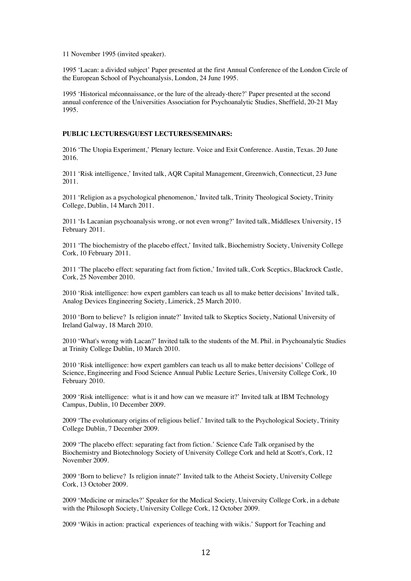11 November 1995 (invited speaker).

1995 'Lacan: a divided subject' Paper presented at the first Annual Conference of the London Circle of the European School of Psychoanalysis, London, 24 June 1995.

1995 'Historical méconnaissance, or the lure of the already-there?' Paper presented at the second annual conference of the Universities Association for Psychoanalytic Studies, Sheffield, 20-21 May 1995.

### **PUBLIC LECTURES/GUEST LECTURES/SEMINARS:**

2016 'The Utopia Experiment,' Plenary lecture. Voice and Exit Conference. Austin, Texas. 20 June 2016.

2011 'Risk intelligence,' Invited talk, AQR Capital Management, Greenwich, Connecticut, 23 June 2011.

2011 'Religion as a psychological phenomenon,' Invited talk, Trinity Theological Society, Trinity College, Dublin, 14 March 2011.

2011 'Is Lacanian psychoanalysis wrong, or not even wrong?' Invited talk, Middlesex University, 15 February 2011.

2011 'The biochemistry of the placebo effect,' Invited talk, Biochemistry Society, University College Cork, 10 February 2011.

2011 'The placebo effect: separating fact from fiction,' Invited talk, Cork Sceptics, Blackrock Castle, Cork, 25 November 2010.

2010 'Risk intelligence: how expert gamblers can teach us all to make better decisions' Invited talk, Analog Devices Engineering Society, Limerick, 25 March 2010.

2010 'Born to believe? Is religion innate?' Invited talk to Skeptics Society, National University of Ireland Galway, 18 March 2010.

2010 'What's wrong with Lacan?' Invited talk to the students of the M. Phil. in Psychoanalytic Studies at Trinity College Dublin, 10 March 2010.

2010 'Risk intelligence: how expert gamblers can teach us all to make better decisions' College of Science, Engineering and Food Science Annual Public Lecture Series, University College Cork, 10 February 2010.

2009 'Risk intelligence: what is it and how can we measure it?' Invited talk at IBM Technology Campus, Dublin, 10 December 2009.

2009 'The evolutionary origins of religious belief.' Invited talk to the Psychological Society, Trinity College Dublin, 7 December 2009.

2009 'The placebo effect: separating fact from fiction.' Science Cafe Talk organised by the Biochemistry and Biotechnology Society of University College Cork and held at Scott's, Cork, 12 November 2009.

2009 'Born to believe? Is religion innate?' Invited talk to the Atheist Society, University College Cork, 13 October 2009.

2009 'Medicine or miracles?' Speaker for the Medical Society, University College Cork, in a debate with the Philosoph Society, University College Cork, 12 October 2009.

2009 'Wikis in action: practical experiences of teaching with wikis.' Support for Teaching and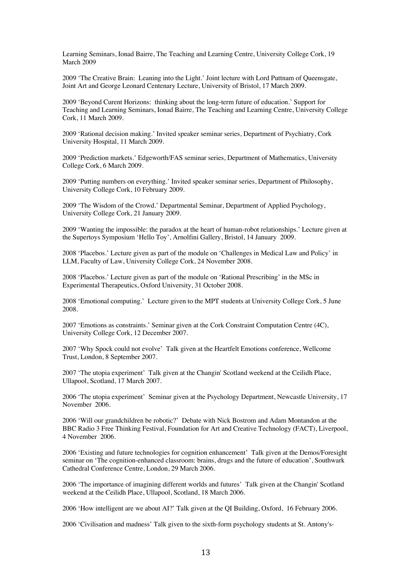Learning Seminars, Ionad Bairre, The Teaching and Learning Centre, University College Cork, 19 March 2009

2009 'The Creative Brain: Leaning into the Light.' Joint lecture with Lord Puttnam of Queensgate, Joint Art and George Leonard Centenary Lecture, University of Bristol, 17 March 2009.

2009 'Beyond Curent Horizons: thinking about the long-term future of education.' Support for Teaching and Learning Seminars, Ionad Bairre, The Teaching and Learning Centre, University College Cork, 11 March 2009.

2009 'Rational decision making.' Invited speaker seminar series, Department of Psychiatry, Cork University Hospital, 11 March 2009.

2009 'Prediction markets.' Edgeworth/FAS seminar series, Department of Mathematics, University College Cork, 6 March 2009.

2009 'Putting numbers on everything.' Invited speaker seminar series, Department of Philosophy, University College Cork, 10 February 2009.

2009 'The Wisdom of the Crowd.' Departmental Seminar, Department of Applied Psychology, University College Cork, 21 January 2009.

2009 'Wanting the impossible: the paradox at the heart of human-robot relationships.' Lecture given at the Supertoys Symposium 'Hello Toy', Arnolfini Gallery, Bristol, 14 January 2009.

2008 'Placebos.' Lecture given as part of the module on 'Challenges in Medical Law and Policy' in LLM, Faculty of Law, University College Cork, 24 November 2008.

2008 'Placebos.' Lecture given as part of the module on 'Rational Prescribing' in the MSc in Experimental Therapeutics, Oxford University, 31 October 2008.

2008 'Emotional computing.' Lecture given to the MPT students at University College Cork, 5 June 2008.

2007 'Emotions as constraints.' Seminar given at the Cork Constraint Computation Centre (4C), University College Cork, 12 December 2007.

2007 'Why Spock could not evolve' Talk given at the Heartfelt Emotions conference, Wellcome Trust, London, 8 September 2007.

2007 'The utopia experiment' Talk given at the Changin' Scotland weekend at the Ceilidh Place, Ullapool, Scotland, 17 March 2007.

2006 'The utopia experiment' Seminar given at the Psychology Department, Newcastle University, 17 November 2006.

2006 'Will our grandchildren be robotic?' Debate with Nick Bostrom and Adam Montandon at the BBC Radio 3 Free Thinking Festival, Foundation for Art and Creative Technology (FACT), Liverpool, 4 November 2006.

2006 'Existing and future technologies for cognition enhancement' Talk given at the Demos/Foresight seminar on 'The cognition-enhanced classroom: brains, drugs and the future of education', Southwark Cathedral Conference Centre, London, 29 March 2006.

2006 'The importance of imagining different worlds and futures' Talk given at the Changin' Scotland weekend at the Ceilidh Place, Ullapool, Scotland, 18 March 2006.

2006 'How intelligent are we about AI?' Talk given at the QI Building, Oxford, 16 February 2006.

2006 'Civilisation and madness' Talk given to the sixth-form psychology students at St. Antony's-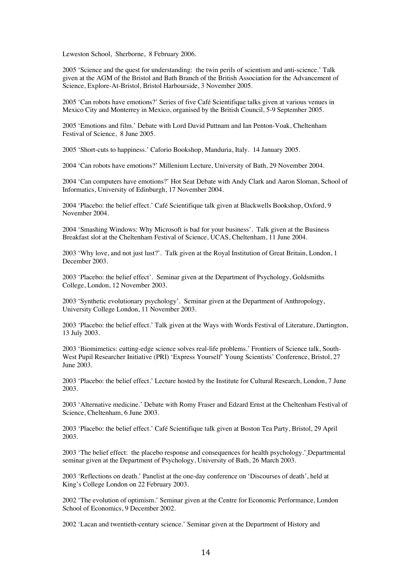Leweston School, Sherborne, 8 February 2006.

2005 'Science and the quest for understanding: the twin perils of scientism and anti-science.' Talk given at the AGM of the Bristol and Bath Branch of the British Association for the Advancement of Science, Explore-At-Bristol, Bristol Harbourside, 3 November 2005.

2005 'Can robots have emotions?' Series of five Café Scientifique talks given at various venues in Mexico City and Monterrey in Mexico, organised by the British Council, 5-9 September 2005.

2005 'Emotions and film.' Debate with Lord David Puttnam and Ian Penton-Voak, Cheltenham Festival of Science, 8 June 2005.

2005 'Short-cuts to happiness.' Caforio Bookshop, Manduria, Italy. 14 January 2005.

2004 'Can robots have emotions?' Millenium Lecture, University of Bath, 29 November 2004.

2004 'Can computers have emotions?' Hot Seat Debate with Andy Clark and Aaron Sloman, School of Informatics, University of Edinburgh, 17 November 2004.

2004 'Placebo: the belief effect.' Café Scientifique talk given at Blackwells Bookshop, Oxford, 9 November 2004.

2004 'Smashing Windows: Why Microsoft is bad for your business'. Talk given at the Business Breakfast slot at the Cheltenham Festival of Science, UCAS, Cheltenham, 11 June 2004.

2003 'Why love, and not just lust?'. Talk given at the Royal Institution of Great Britain, London, 1 December 2003.

2003 'Placebo: the belief effect'. Seminar given at the Department of Psychology, Goldsmiths College, London, 12 November 2003.

2003 'Synthetic evolutionary psychology'. Seminar given at the Department of Anthropology, University College London, 11 November 2003.

2003 'Placebo: the belief effect.' Talk given at the Ways with Words Festival of Literature, Dartington, 13 July 2003.

2003 'Biomimetics: cutting-edge science solves real-life problems.' Frontiers of Science talk, South-West Pupil Researcher Initiative (PRI) 'Express Yourself' Young Scientists' Conference, Bristol, 27 June 2003.

2003 'Placebo: the belief effect.' Lecture hosted by the Institute for Cultural Research, London, 7 June 2003.

2003 'Alternative medicine.' Debate with Romy Fraser and Edzard Ernst at the Cheltenham Festival of Science, Cheltenham, 6 June 2003.

2003 'Placebo: the belief effect.' Café Scientifique talk given at Boston Tea Party, Bristol, 29 April 2003.

2003 'The belief effect: the placebo response and consequences for health psychology.' Departmental seminar given at the Department of Psychology, University of Bath, 26 March 2003.

2003 'Reflections on death.' Panelist at the one-day conference on 'Discourses of death', held at King's College London on 22 February 2003.

2002 'The evolution of optimism.' Seminar given at the Centre for Economic Performance, London School of Economics, 9 December 2002.

2002 'Lacan and twentieth-century science.' Seminar given at the Department of History and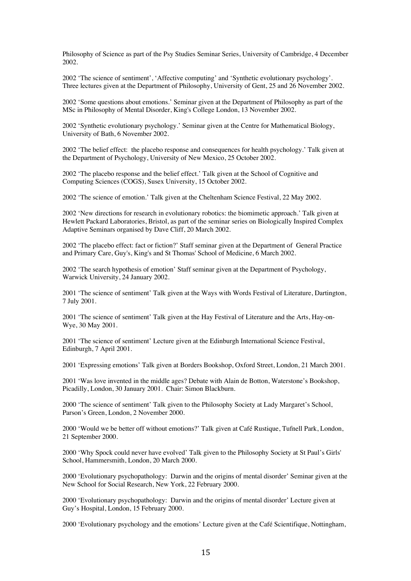Philosophy of Science as part of the Psy Studies Seminar Series, University of Cambridge, 4 December 2002.

2002 'The science of sentiment', 'Affective computing' and 'Synthetic evolutionary psychology'. Three lectures given at the Department of Philosophy, University of Gent, 25 and 26 November 2002.

2002 'Some questions about emotions.' Seminar given at the Department of Philosophy as part of the MSc in Philosophy of Mental Disorder, King's College London, 13 November 2002.

2002 'Synthetic evolutionary psychology.' Seminar given at the Centre for Mathematical Biology, University of Bath, 6 November 2002.

2002 'The belief effect: the placebo response and consequences for health psychology.' Talk given at the Department of Psychology, University of New Mexico, 25 October 2002.

2002 'The placebo response and the belief effect.' Talk given at the School of Cognitive and Computing Sciences (COGS), Susex University, 15 October 2002.

2002 'The science of emotion.' Talk given at the Cheltenham Science Festival, 22 May 2002.

2002 'New directions for research in evolutionary robotics: the biomimetic approach.' Talk given at Hewlett Packard Laboratories, Bristol, as part of the seminar series on Biologically Inspired Complex Adaptive Seminars organised by Dave Cliff, 20 March 2002.

2002 'The placebo effect: fact or fiction?' Staff seminar given at the Department of General Practice and Primary Care, Guy's, King's and St Thomas' School of Medicine, 6 March 2002.

2002 'The search hypothesis of emotion' Staff seminar given at the Department of Psychology, Warwick University, 24 January 2002.

2001 'The science of sentiment' Talk given at the Ways with Words Festival of Literature, Dartington, 7 July 2001.

2001 'The science of sentiment' Talk given at the Hay Festival of Literature and the Arts, Hay-on-Wye, 30 May 2001.

2001 'The science of sentiment' Lecture given at the Edinburgh International Science Festival, Edinburgh, 7 April 2001.

2001 'Expressing emotions' Talk given at Borders Bookshop, Oxford Street, London, 21 March 2001.

2001 'Was love invented in the middle ages? Debate with Alain de Botton, Waterstone's Bookshop, Picadilly, London, 30 January 2001. Chair: Simon Blackburn.

2000 'The science of sentiment' Talk given to the Philosophy Society at Lady Margaret's School, Parson's Green, London, 2 November 2000.

2000 'Would we be better off without emotions?' Talk given at Café Rustique, Tufnell Park, London, 21 September 2000.

2000 'Why Spock could never have evolved' Talk given to the Philosophy Society at St Paul's Girls' School, Hammersmith, London, 20 March 2000.

2000 'Evolutionary psychopathology: Darwin and the origins of mental disorder' Seminar given at the New School for Social Research, New York, 22 February 2000.

2000 'Evolutionary psychopathology: Darwin and the origins of mental disorder' Lecture given at Guy's Hospital, London, 15 February 2000.

2000 'Evolutionary psychology and the emotions' Lecture given at the Café Scientifique, Nottingham,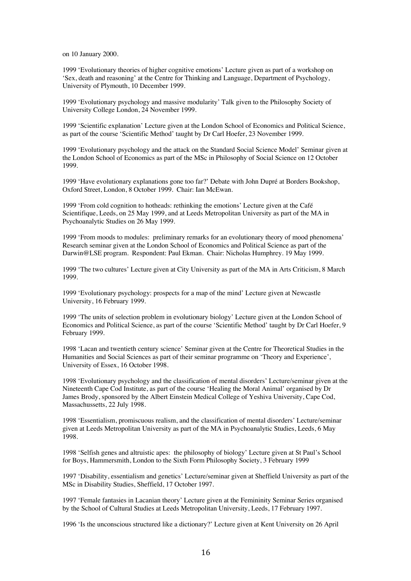on 10 January 2000.

1999 'Evolutionary theories of higher cognitive emotions' Lecture given as part of a workshop on 'Sex, death and reasoning' at the Centre for Thinking and Language, Department of Psychology, University of Plymouth, 10 December 1999.

1999 'Evolutionary psychology and massive modularity' Talk given to the Philosophy Society of University College London, 24 November 1999.

1999 'Scientific explanation' Lecture given at the London School of Economics and Political Science, as part of the course 'Scientific Method' taught by Dr Carl Hoefer, 23 November 1999.

1999 'Evolutionary psychology and the attack on the Standard Social Science Model' Seminar given at the London School of Economics as part of the MSc in Philosophy of Social Science on 12 October 1999.

1999 'Have evolutionary explanations gone too far?' Debate with John Dupré at Borders Bookshop, Oxford Street, London, 8 October 1999. Chair: Ian McEwan.

1999 'From cold cognition to hotheads: rethinking the emotions' Lecture given at the Café Scientifique, Leeds, on 25 May 1999, and at Leeds Metropolitan University as part of the MA in Psychoanalytic Studies on 26 May 1999.

1999 'From moods to modules: preliminary remarks for an evolutionary theory of mood phenomena' Research seminar given at the London School of Economics and Political Science as part of the Darwin@LSE program. Respondent: Paul Ekman. Chair: Nicholas Humphrey. 19 May 1999.

1999 'The two cultures' Lecture given at City University as part of the MA in Arts Criticism, 8 March 1999.

1999 'Evolutionary psychology: prospects for a map of the mind' Lecture given at Newcastle University, 16 February 1999.

1999 'The units of selection problem in evolutionary biology' Lecture given at the London School of Economics and Political Science, as part of the course 'Scientific Method' taught by Dr Carl Hoefer, 9 February 1999.

1998 'Lacan and twentieth century science' Seminar given at the Centre for Theoretical Studies in the Humanities and Social Sciences as part of their seminar programme on 'Theory and Experience', University of Essex, 16 October 1998.

1998 'Evolutionary psychology and the classification of mental disorders' Lecture/seminar given at the Nineteenth Cape Cod Institute, as part of the course 'Healing the Moral Animal' organised by Dr James Brody, sponsored by the Albert Einstein Medical College of Yeshiva University, Cape Cod, Massachussetts, 22 July 1998.

1998 'Essentialism, promiscuous realism, and the classification of mental disorders' Lecture/seminar given at Leeds Metropolitan University as part of the MA in Psychoanalytic Studies, Leeds, 6 May 1998.

1998 'Selfish genes and altruistic apes: the philosophy of biology' Lecture given at St Paul's School for Boys, Hammersmith, London to the Sixth Form Philosophy Society, 3 February 1999

1997 'Disability, essentialism and genetics' Lecture/seminar given at Sheffield University as part of the MSc in Disability Studies, Sheffield, 17 October 1997.

1997 'Female fantasies in Lacanian theory' Lecture given at the Femininity Seminar Series organised by the School of Cultural Studies at Leeds Metropolitan University, Leeds, 17 February 1997.

1996 'Is the unconscious structured like a dictionary?' Lecture given at Kent University on 26 April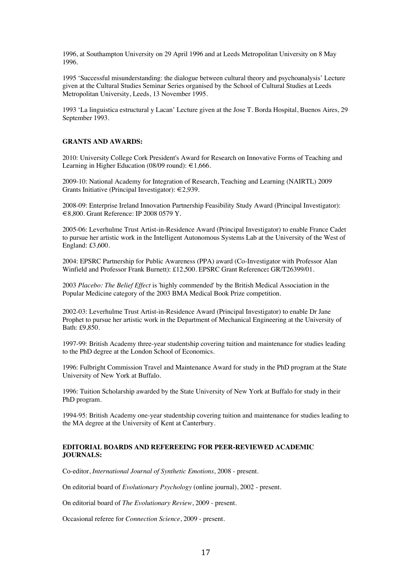1996, at Southampton University on 29 April 1996 and at Leeds Metropolitan University on 8 May 1996.

1995 'Successful misunderstanding: the dialogue between cultural theory and psychoanalysis' Lecture given at the Cultural Studies Seminar Series organised by the School of Cultural Studies at Leeds Metropolitan University, Leeds, 13 November 1995.

1993 'La linguistica estructural y Lacan' Lecture given at the Jose T. Borda Hospital, Buenos Aires, 29 September 1993.

### **GRANTS AND AWARDS:**

2010: University College Cork President's Award for Research on Innovative Forms of Teaching and Learning in Higher Education (08/09 round):  $\in$  1,666.

2009-10: National Academy for Integration of Research, Teaching and Learning (NAIRTL) 2009 Grants Initiative (Principal Investigator): €2,939.

2008-09: Enterprise Ireland Innovation Partnership Feasibility Study Award (Principal Investigator): €8,800. Grant Reference: IP 2008 0579 Y.

2005-06: Leverhulme Trust Artist-in-Residence Award (Principal Investigator) to enable France Cadet to pursue her artistic work in the Intelligent Autonomous Systems Lab at the University of the West of England: £3,600.

2004: EPSRC Partnership for Public Awareness (PPA) award (Co-Investigator with Professor Alan Winfield and Professor Frank Burnett): £12,500. EPSRC Grant Reference**:** GR/T26399/01.

2003 *Placebo: The Belief Effect* is 'highly commended' by the British Medical Association in the Popular Medicine category of the 2003 BMA Medical Book Prize competition.

2002-03: Leverhulme Trust Artist-in-Residence Award (Principal Investigator) to enable Dr Jane Prophet to pursue her artistic work in the Department of Mechanical Engineering at the University of Bath: £9,850.

1997-99: British Academy three-year studentship covering tuition and maintenance for studies leading to the PhD degree at the London School of Economics.

1996: Fulbright Commission Travel and Maintenance Award for study in the PhD program at the State University of New York at Buffalo.

1996: Tuition Scholarship awarded by the State University of New York at Buffalo for study in their PhD program.

1994-95: British Academy one-year studentship covering tuition and maintenance for studies leading to the MA degree at the University of Kent at Canterbury.

## **EDITORIAL BOARDS AND REFEREEING FOR PEER-REVIEWED ACADEMIC JOURNALS:**

Co-editor, *International Journal of Synthetic Emotions*, 2008 - present.

On editorial board of *Evolutionary Psychology* (online journal), 2002 - present.

On editorial board of *The Evolutionary Review*, 2009 - present.

Occasional referee for *Connection Science*, 2009 - present.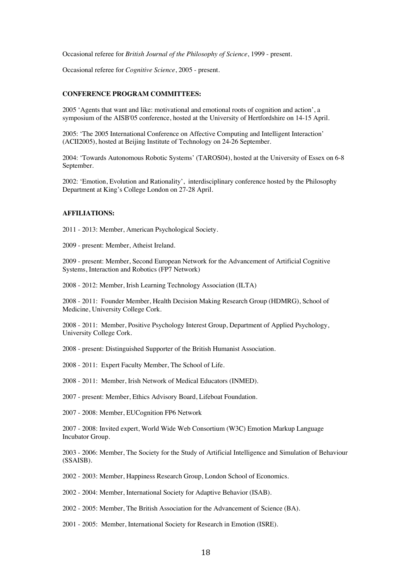Occasional referee for *British Journal of the Philosophy of Science*, 1999 - present.

Occasional referee for *Cognitive Science*, 2005 - present.

## **CONFERENCE PROGRAM COMMITTEES:**

2005 'Agents that want and like: motivational and emotional roots of cognition and action', a symposium of the AISB'05 conference, hosted at the University of Hertfordshire on 14-15 April.

2005: 'The 2005 International Conference on Affective Computing and Intelligent Interaction' (ACII2005), hosted at Beijing Institute of Technology on 24-26 September.

2004: 'Towards Autonomous Robotic Systems' (TAROS04), hosted at the University of Essex on 6-8 September.

2002: 'Emotion, Evolution and Rationality', interdisciplinary conference hosted by the Philosophy Department at King's College London on 27-28 April.

#### **AFFILIATIONS:**

2011 - 2013: Member, American Psychological Society.

2009 - present: Member, Atheist Ireland.

2009 - present: Member, Second European Network for the Advancement of Artificial Cognitive Systems, Interaction and Robotics (FP7 Network)

2008 - 2012: Member, Irish Learning Technology Association (ILTA)

2008 - 2011: Founder Member, Health Decision Making Research Group (HDMRG), School of Medicine, University College Cork.

2008 - 2011: Member, Positive Psychology Interest Group, Department of Applied Psychology, University College Cork.

2008 - present: Distinguished Supporter of the British Humanist Association.

2008 - 2011: Expert Faculty Member, The School of Life.

2008 - 2011: Member, Irish Network of Medical Educators (INMED).

2007 - present: Member, Ethics Advisory Board, Lifeboat Foundation.

2007 - 2008: Member, EUCognition FP6 Network

2007 - 2008: Invited expert, World Wide Web Consortium (W3C) Emotion Markup Language Incubator Group.

2003 - 2006: Member, The Society for the Study of Artificial Intelligence and Simulation of Behaviour (SSAISB).

2002 - 2003: Member, Happiness Research Group, London School of Economics.

2002 - 2004: Member, International Society for Adaptive Behavior (ISAB).

2002 - 2005: Member, The British Association for the Advancement of Science (BA).

2001 - 2005: Member, International Society for Research in Emotion (ISRE).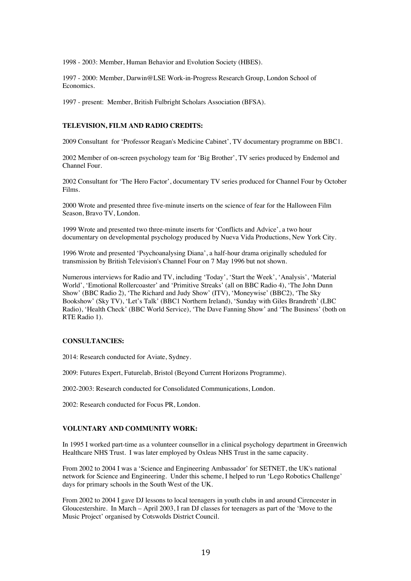1998 - 2003: Member, Human Behavior and Evolution Society (HBES).

1997 - 2000: Member, Darwin@LSE Work-in-Progress Research Group, London School of Economics.

1997 - present: Member, British Fulbright Scholars Association (BFSA).

## **TELEVISION, FILM AND RADIO CREDITS:**

2009 Consultant for 'Professor Reagan's Medicine Cabinet', TV documentary programme on BBC1.

2002 Member of on-screen psychology team for 'Big Brother', TV series produced by Endemol and Channel Four.

2002 Consultant for 'The Hero Factor', documentary TV series produced for Channel Four by October Films.

2000 Wrote and presented three five-minute inserts on the science of fear for the Halloween Film Season, Bravo TV, London.

1999 Wrote and presented two three-minute inserts for 'Conflicts and Advice', a two hour documentary on developmental psychology produced by Nueva Vida Productions, New York City.

1996 Wrote and presented 'Psychoanalysing Diana', a half-hour drama originally scheduled for transmission by British Television's Channel Four on 7 May 1996 but not shown.

Numerous interviews for Radio and TV, including 'Today', 'Start the Week', 'Analysis', 'Material World', 'Emotional Rollercoaster' and 'Primitive Streaks' (all on BBC Radio 4), 'The John Dunn Show' (BBC Radio 2), 'The Richard and Judy Show' (ITV), 'Moneywise' (BBC2), 'The Sky Bookshow' (Sky TV), 'Let's Talk' (BBC1 Northern Ireland), 'Sunday with Giles Brandreth' (LBC Radio), 'Health Check' (BBC World Service), 'The Dave Fanning Show' and 'The Business' (both on RTE Radio 1).

#### **CONSULTANCIES:**

2014: Research conducted for Aviate, Sydney.

2009: Futures Expert, Futurelab, Bristol (Beyond Current Horizons Programme).

2002-2003: Research conducted for Consolidated Communications, London.

2002: Research conducted for Focus PR, London.

## **VOLUNTARY AND COMMUNITY WORK:**

In 1995 I worked part-time as a volunteer counsellor in a clinical psychology department in Greenwich Healthcare NHS Trust. I was later employed by Oxleas NHS Trust in the same capacity.

From 2002 to 2004 I was a 'Science and Engineering Ambassador' for SETNET, the UK's national network for Science and Engineering. Under this scheme, I helped to run 'Lego Robotics Challenge' days for primary schools in the South West of the UK.

From 2002 to 2004 I gave DJ lessons to local teenagers in youth clubs in and around Cirencester in Gloucestershire. In March – April 2003, I ran DJ classes for teenagers as part of the 'Move to the Music Project' organised by Cotswolds District Council.